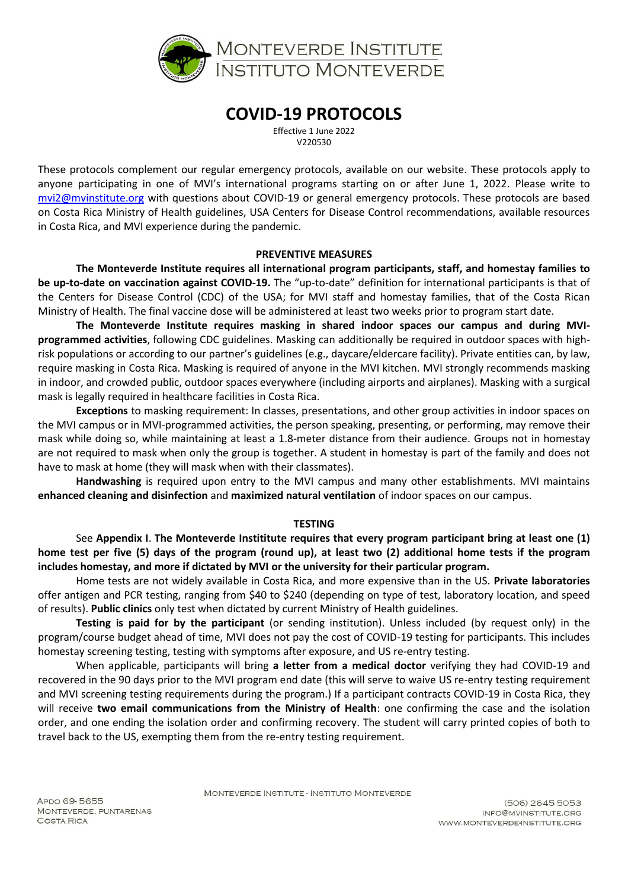

# **COVID-19 PROTOCOLS**

Effective 1 June 2022 V220530

These protocols complement our regular emergency protocols, available on our website. These protocols apply to anyone participating in one of MVI's international programs starting on or after June 1, 2022. Please write to [mvi2@mvinstitute.org](mailto:mvi2@mvinstitute.org) with questions about COVID-19 or general emergency protocols. These protocols are based on Costa Rica Ministry of Health guidelines, USA Centers for Disease Control recommendations, available resources in Costa Rica, and MVI experience during the pandemic.

#### **PREVENTIVE MEASURES**

**The Monteverde Institute requires all international program participants, staff, and homestay families to be up-to-date on vaccination against COVID-19.** The "up-to-date" definition for international participants is that of the Centers for Disease Control (CDC) of the USA; for MVI staff and homestay families, that of the Costa Rican Ministry of Health. The final vaccine dose will be administered at least two weeks prior to program start date.

**The Monteverde Institute requires masking in shared indoor spaces our campus and during MVIprogrammed activities**, following CDC guidelines. Masking can additionally be required in outdoor spaces with highrisk populations or according to our partner's guidelines (e.g., daycare/eldercare facility). Private entities can, by law, require masking in Costa Rica. Masking is required of anyone in the MVI kitchen. MVI strongly recommends masking in indoor, and crowded public, outdoor spaces everywhere (including airports and airplanes). Masking with a surgical mask is legally required in healthcare facilities in Costa Rica.

**Exceptions** to masking requirement: In classes, presentations, and other group activities in indoor spaces on the MVI campus or in MVI-programmed activities, the person speaking, presenting, or performing, may remove their mask while doing so, while maintaining at least a 1.8-meter distance from their audience. Groups not in homestay are not required to mask when only the group is together. A student in homestay is part of the family and does not have to mask at home (they will mask when with their classmates).

**Handwashing** is required upon entry to the MVI campus and many other establishments. MVI maintains **enhanced cleaning and disinfection** and **maximized natural ventilation** of indoor spaces on our campus.

## **TESTING**

See **Appendix I**. **The Monteverde Instititute requires that every program participant bring at least one (1) home test per five (5) days of the program (round up), at least two (2) additional home tests if the program includes homestay, and more if dictated by MVI or the university for their particular program.**

Home tests are not widely available in Costa Rica, and more expensive than in the US. **Private laboratories** offer antigen and PCR testing, ranging from \$40 to \$240 (depending on type of test, laboratory location, and speed of results). **Public clinics** only test when dictated by current Ministry of Health guidelines.

**Testing is paid for by the participant** (or sending institution). Unless included (by request only) in the program/course budget ahead of time, MVI does not pay the cost of COVID-19 testing for participants. This includes homestay screening testing, testing with symptoms after exposure, and US re-entry testing.

When applicable, participants will bring **a letter from a medical doctor** verifying they had COVID-19 and recovered in the 90 days prior to the MVI program end date (this will serve to waive US re-entry testing requirement and MVI screening testing requirements during the program.) If a participant contracts COVID-19 in Costa Rica, they will receive **two email communications from the Ministry of Health**: one confirming the case and the isolation order, and one ending the isolation order and confirming recovery. The student will carry printed copies of both to travel back to the US, exempting them from the re-entry testing requirement.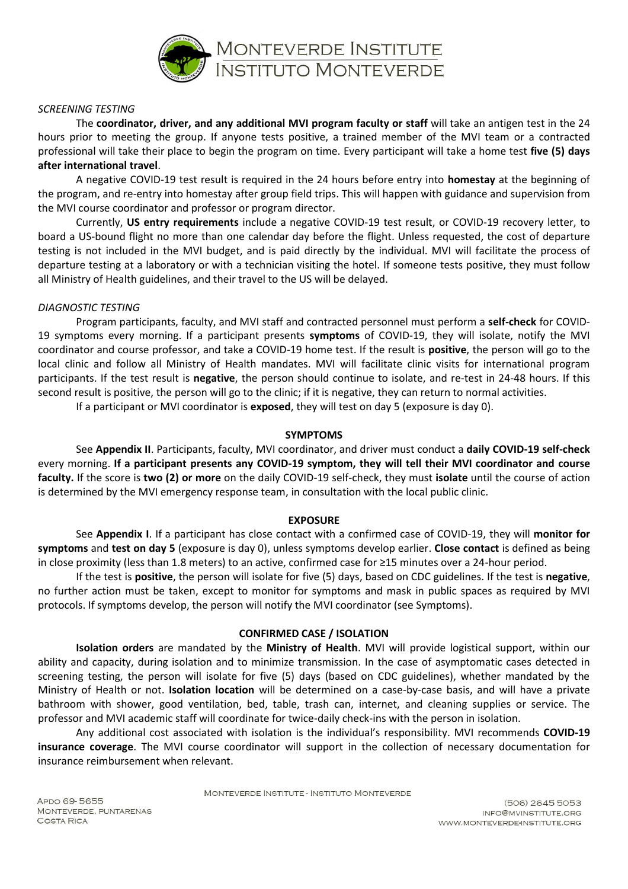

#### *SCREENING TESTING*

The **coordinator, driver, and any additional MVI program faculty or staff** will take an antigen test in the 24 hours prior to meeting the group. If anyone tests positive, a trained member of the MVI team or a contracted professional will take their place to begin the program on time. Every participant will take a home test **five (5) days after international travel**.

A negative COVID-19 test result is required in the 24 hours before entry into **homestay** at the beginning of the program, and re-entry into homestay after group field trips. This will happen with guidance and supervision from the MVI course coordinator and professor or program director.

Currently, **US entry requirements** include a negative COVID-19 test result, or COVID-19 recovery letter, to board a US-bound flight no more than one calendar day before the flight. Unless requested, the cost of departure testing is not included in the MVI budget, and is paid directly by the individual. MVI will facilitate the process of departure testing at a laboratory or with a technician visiting the hotel. If someone tests positive, they must follow all Ministry of Health guidelines, and their travel to the US will be delayed.

#### *DIAGNOSTIC TESTING*

Program participants, faculty, and MVI staff and contracted personnel must perform a **self-check** for COVID-19 symptoms every morning. If a participant presents **symptoms** of COVID-19, they will isolate, notify the MVI coordinator and course professor, and take a COVID-19 home test. If the result is **positive**, the person will go to the local clinic and follow all Ministry of Health mandates. MVI will facilitate clinic visits for international program participants. If the test result is **negative**, the person should continue to isolate, and re-test in 24-48 hours. If this second result is positive, the person will go to the clinic; if it is negative, they can return to normal activities.

If a participant or MVI coordinator is **exposed**, they will test on day 5 (exposure is day 0).

#### **SYMPTOMS**

See **Appendix II**. Participants, faculty, MVI coordinator, and driver must conduct a **daily COVID-19 self-check** every morning. **If a participant presents any COVID-19 symptom, they will tell their MVI coordinator and course faculty.** If the score is **two (2) or more** on the daily COVID-19 self-check, they must **isolate** until the course of action is determined by the MVI emergency response team, in consultation with the local public clinic.

## **EXPOSURE**

See **Appendix I**. If a participant has close contact with a confirmed case of COVID-19, they will **monitor for symptoms** and **test on day 5** (exposure is day 0), unless symptoms develop earlier. **Close contact** is defined as being in close proximity (less than 1.8 meters) to an active, confirmed case for ≥15 minutes over a 24-hour period.

If the test is **positive**, the person will isolate for five (5) days, based on CDC guidelines. If the test is **negative**, no further action must be taken, except to monitor for symptoms and mask in public spaces as required by MVI protocols. If symptoms develop, the person will notify the MVI coordinator (see Symptoms).

## **CONFIRMED CASE / ISOLATION**

**Isolation orders** are mandated by the **Ministry of Health**. MVI will provide logistical support, within our ability and capacity, during isolation and to minimize transmission. In the case of asymptomatic cases detected in screening testing, the person will isolate for five (5) days (based on CDC guidelines), whether mandated by the Ministry of Health or not. **Isolation location** will be determined on a case-by-case basis, and will have a private bathroom with shower, good ventilation, bed, table, trash can, internet, and cleaning supplies or service. The professor and MVI academic staff will coordinate for twice-daily check-ins with the person in isolation.

Any additional cost associated with isolation is the individual's responsibility. MVI recommends **COVID-19 insurance coverage**. The MVI course coordinator will support in the collection of necessary documentation for insurance reimbursement when relevant.

MONTEVERDE INSTITUTE - INSTITUTO MONTEVERDE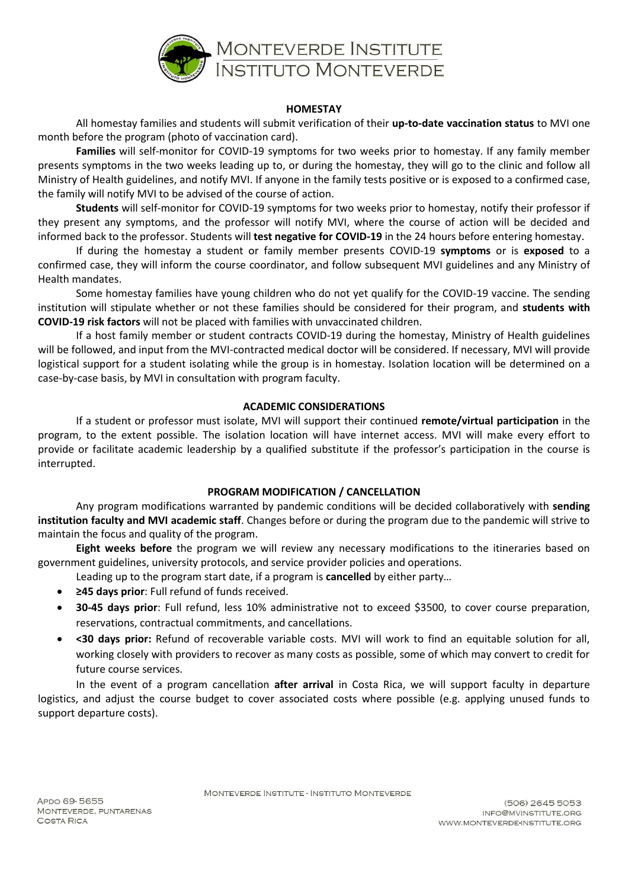

## **HOMESTAY**

All homestay families and students will submit verification of their **up-to-date vaccination status** to MVI one month before the program (photo of vaccination card).

**Families** will self-monitor for COVID-19 symptoms for two weeks prior to homestay. If any family member presents symptoms in the two weeks leading up to, or during the homestay, they will go to the clinic and follow all Ministry of Health guidelines, and notify MVI. If anyone in the family tests positive or is exposed to a confirmed case, the family will notify MVI to be advised of the course of action.

**Students** will self-monitor for COVID-19 symptoms for two weeks prior to homestay, notify their professor if they present any symptoms, and the professor will notify MVI, where the course of action will be decided and informed back to the professor. Students will **test negative for COVID-19** in the 24 hours before entering homestay.

If during the homestay a student or family member presents COVID-19 **symptoms** or is **exposed** to a confirmed case, they will inform the course coordinator, and follow subsequent MVI guidelines and any Ministry of Health mandates.

Some homestay families have young children who do not yet qualify for the COVID-19 vaccine. The sending institution will stipulate whether or not these families should be considered for their program, and **students with COVID-19 risk factors** will not be placed with families with unvaccinated children.

If a host family member or student contracts COVID-19 during the homestay, Ministry of Health guidelines will be followed, and input from the MVI-contracted medical doctor will be considered. If necessary, MVI will provide logistical support for a student isolating while the group is in homestay. Isolation location will be determined on a case-by-case basis, by MVI in consultation with program faculty.

# **ACADEMIC CONSIDERATIONS**

If a student or professor must isolate, MVI will support their continued **remote/virtual participation** in the program, to the extent possible. The isolation location will have internet access. MVI will make every effort to provide or facilitate academic leadership by a qualified substitute if the professor's participation in the course is interrupted.

## **PROGRAM MODIFICATION / CANCELLATION**

Any program modifications warranted by pandemic conditions will be decided collaboratively with **sending institution faculty and MVI academic staff**. Changes before or during the program due to the pandemic will strive to maintain the focus and quality of the program.

**Eight weeks before** the program we will review any necessary modifications to the itineraries based on government guidelines, university protocols, and service provider policies and operations.

Leading up to the program start date, if a program is **cancelled** by either party…

- **≥45 days prior**: Full refund of funds received.
- **30-45 days prior**: Full refund, less 10% administrative not to exceed \$3500, to cover course preparation, reservations, contractual commitments, and cancellations.
- **<30 days prior:** Refund of recoverable variable costs. MVI will work to find an equitable solution for all, working closely with providers to recover as many costs as possible, some of which may convert to credit for future course services.

In the event of a program cancellation **after arrival** in Costa Rica, we will support faculty in departure logistics, and adjust the course budget to cover associated costs where possible (e.g. applying unused funds to support departure costs).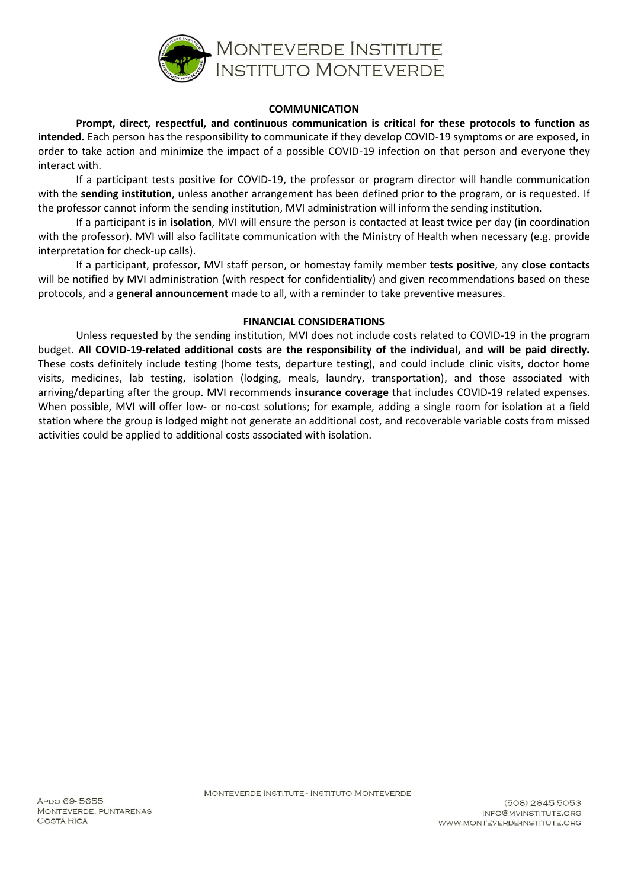

## **COMMUNICATION**

**Prompt, direct, respectful, and continuous communication is critical for these protocols to function as intended.** Each person has the responsibility to communicate if they develop COVID-19 symptoms or are exposed, in order to take action and minimize the impact of a possible COVID-19 infection on that person and everyone they interact with.

If a participant tests positive for COVID-19, the professor or program director will handle communication with the **sending institution**, unless another arrangement has been defined prior to the program, or is requested. If the professor cannot inform the sending institution, MVI administration will inform the sending institution.

If a participant is in **isolation**, MVI will ensure the person is contacted at least twice per day (in coordination with the professor). MVI will also facilitate communication with the Ministry of Health when necessary (e.g. provide interpretation for check-up calls).

If a participant, professor, MVI staff person, or homestay family member **tests positive**, any **close contacts** will be notified by MVI administration (with respect for confidentiality) and given recommendations based on these protocols, and a **general announcement** made to all, with a reminder to take preventive measures.

#### **FINANCIAL CONSIDERATIONS**

Unless requested by the sending institution, MVI does not include costs related to COVID-19 in the program budget. **All COVID-19-related additional costs are the responsibility of the individual, and will be paid directly.** These costs definitely include testing (home tests, departure testing), and could include clinic visits, doctor home visits, medicines, lab testing, isolation (lodging, meals, laundry, transportation), and those associated with arriving/departing after the group. MVI recommends **insurance coverage** that includes COVID-19 related expenses. When possible, MVI will offer low- or no-cost solutions; for example, adding a single room for isolation at a field station where the group is lodged might not generate an additional cost, and recoverable variable costs from missed activities could be applied to additional costs associated with isolation.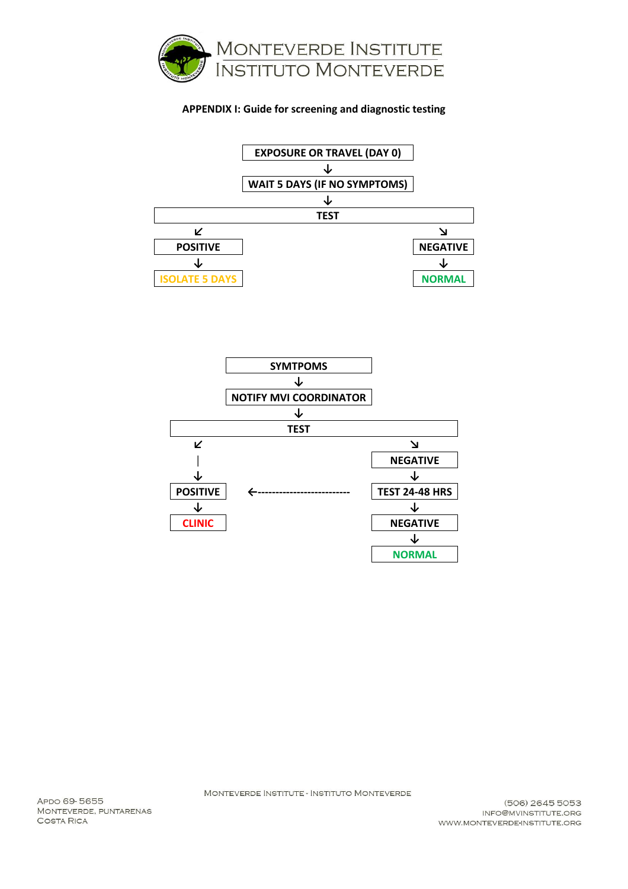

# **APPENDIX I: Guide for screening and diagnostic testing**





MONTEVERDE INSTITUTE - INSTITUTO MONTEVERDE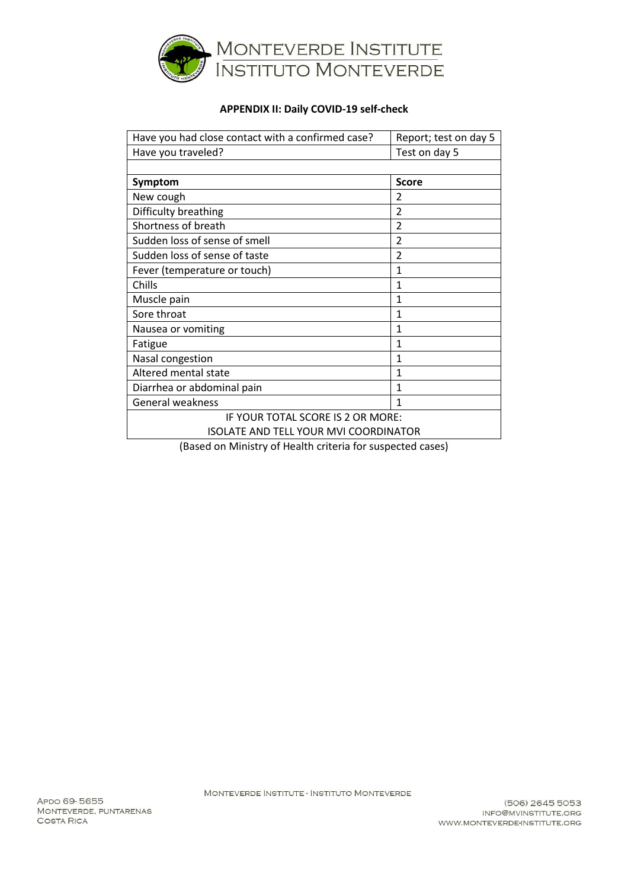

# **APPENDIX II: Daily COVID-19 self-check**

| Have you had close contact with a confirmed case?         | Report; test on day 5   |
|-----------------------------------------------------------|-------------------------|
| Have you traveled?                                        | Test on day 5           |
|                                                           |                         |
| Symptom                                                   | <b>Score</b>            |
| New cough                                                 | 2                       |
| Difficulty breathing                                      | 2                       |
| Shortness of breath                                       | 2                       |
| Sudden loss of sense of smell                             | 2                       |
| Sudden loss of sense of taste                             | $\overline{\mathbf{c}}$ |
| Fever (temperature or touch)                              | 1                       |
| Chills                                                    | 1                       |
| Muscle pain                                               | 1                       |
| Sore throat                                               | 1                       |
| Nausea or vomiting                                        | 1                       |
| Fatigue                                                   | 1                       |
| Nasal congestion                                          | 1                       |
| Altered mental state                                      | 1                       |
| Diarrhea or abdominal pain                                | 1                       |
| General weakness                                          | 1                       |
| IF YOUR TOTAL SCORE IS 2 OR MORE:                         |                         |
| <b>ISOLATE AND TELL YOUR MVI COORDINATOR</b>              |                         |
| Based on Ministry of Health criteria for suspected cases) |                         |